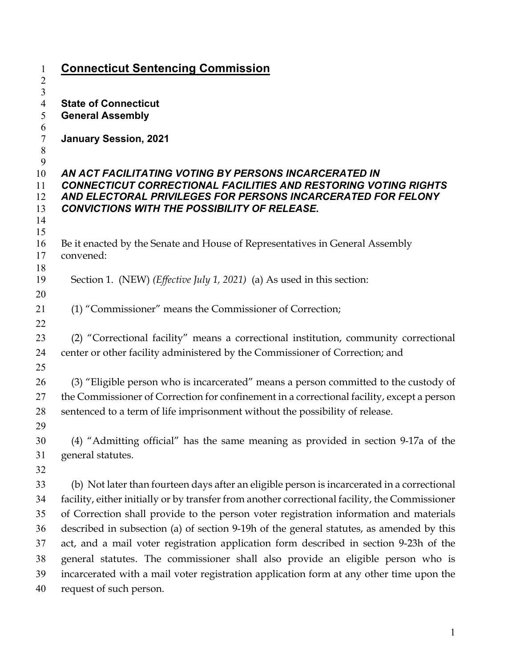| $\mathbf{1}$                              | <b>Connecticut Sentencing Commission</b>                                                       |
|-------------------------------------------|------------------------------------------------------------------------------------------------|
| $\overline{c}$<br>$\overline{\mathbf{3}}$ |                                                                                                |
| $\overline{4}$                            | <b>State of Connecticut</b>                                                                    |
| 5                                         | <b>General Assembly</b>                                                                        |
| 6<br>$\boldsymbol{7}$                     | <b>January Session, 2021</b>                                                                   |
| $\,8\,$                                   |                                                                                                |
| 9<br>10                                   | AN ACT FACILITATING VOTING BY PERSONS INCARCERATED IN                                          |
| 11                                        | <b>CONNECTICUT CORRECTIONAL FACILITIES AND RESTORING VOTING RIGHTS</b>                         |
| 12                                        | AND ELECTORAL PRIVILEGES FOR PERSONS INCARCERATED FOR FELONY                                   |
| 13<br>14                                  | <b>CONVICTIONS WITH THE POSSIBILITY OF RELEASE.</b>                                            |
| 15                                        |                                                                                                |
| 16                                        | Be it enacted by the Senate and House of Representatives in General Assembly                   |
| 17                                        | convened:                                                                                      |
| 18<br>19                                  | Section 1. (NEW) ( <i>Effective July 1, 2021</i> ) (a) As used in this section:                |
| 20                                        |                                                                                                |
| 21                                        | (1) "Commissioner" means the Commissioner of Correction;                                       |
| 22                                        |                                                                                                |
| 23                                        | (2) "Correctional facility" means a correctional institution, community correctional           |
| 24                                        | center or other facility administered by the Commissioner of Correction; and                   |
| 25                                        |                                                                                                |
| 26                                        | (3) "Eligible person who is incarcerated" means a person committed to the custody of           |
| 27                                        | the Commissioner of Correction for confinement in a correctional facility, except a person     |
| 28                                        | sentenced to a term of life imprisonment without the possibility of release.                   |
| 29                                        |                                                                                                |
| 30                                        | (4) "Admitting official" has the same meaning as provided in section 9-17a of the              |
| 31<br>32                                  | general statutes.                                                                              |
| 33                                        | (b) Not later than fourteen days after an eligible person is incarcerated in a correctional    |
| 34                                        | facility, either initially or by transfer from another correctional facility, the Commissioner |
| 35                                        | of Correction shall provide to the person voter registration information and materials         |
| 36                                        | described in subsection (a) of section 9-19h of the general statutes, as amended by this       |
| 37                                        | act, and a mail voter registration application form described in section 9-23h of the          |
| 38                                        | general statutes. The commissioner shall also provide an eligible person who is                |
| 39                                        | incarcerated with a mail voter registration application form at any other time upon the        |
| 40                                        | request of such person.                                                                        |
|                                           |                                                                                                |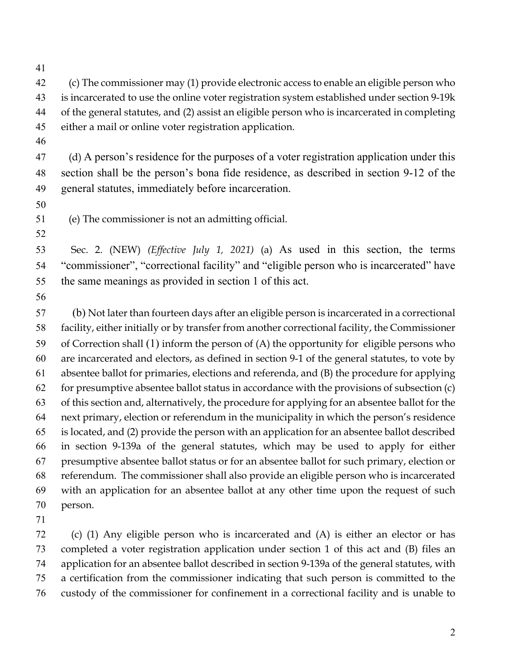(c) The commissioner may (1) provide electronic access to enable an eligible person who is incarcerated to use the online voter registration system established under section 9-19k of the general statutes, and (2) assist an eligible person who is incarcerated in completing either a mail or online voter registration application.

 (d) A person's residence for the purposes of a voter registration application under this section shall be the person's bona fide residence, as described in section 9-12 of the general statutes, immediately before incarceration.

(e) The commissioner is not an admitting official.

 Sec. 2. (NEW) *(Effective July 1, 2021)* (a) As used in this section, the terms "commissioner", "correctional facility" and "eligible person who is incarcerated" have the same meanings as provided in section 1 of this act.

57 (b) Not later than fourteen days after an eligible person is incarcerated in a correctional facility, either initially or by transfer from another correctional facility, the Commissioner of Correction shall (1) inform the person of (A) the opportunity for eligible persons who are incarcerated and electors, as defined in section 9-1 of the general statutes, to vote by absentee ballot for primaries, elections and referenda, and (B) the procedure for applying 62 for presumptive absentee ballot status in accordance with the provisions of subsection  $(c)$  of this section and, alternatively, the procedure for applying for an absentee ballot for the next primary, election or referendum in the municipality in which the person's residence is located, and (2) provide the person with an application for an absentee ballot described in section 9-139a of the general statutes, which may be used to apply for either presumptive absentee ballot status or for an absentee ballot for such primary, election or referendum. The commissioner shall also provide an eligible person who is incarcerated with an application for an absentee ballot at any other time upon the request of such person.

 (c) (1) Any eligible person who is incarcerated and (A) is either an elector or has completed a voter registration application under section 1 of this act and (B) files an application for an absentee ballot described in section 9-139a of the general statutes, with a certification from the commissioner indicating that such person is committed to the custody of the commissioner for confinement in a correctional facility and is unable to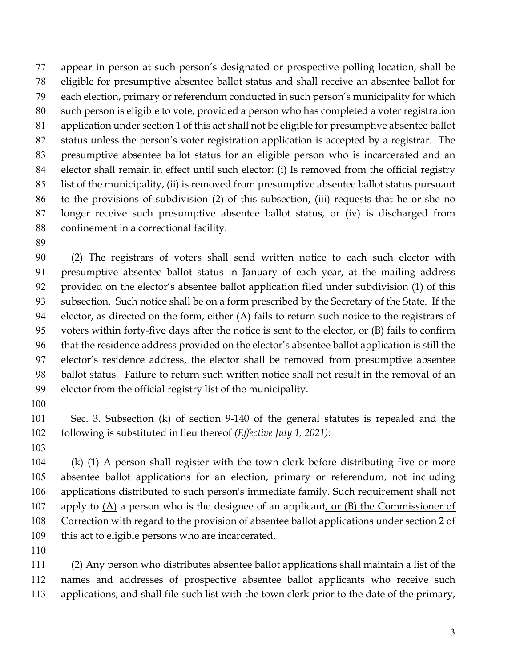appear in person at such person's designated or prospective polling location, shall be eligible for presumptive absentee ballot status and shall receive an absentee ballot for each election, primary or referendum conducted in such person's municipality for which such person is eligible to vote, provided a person who has completed a voter registration application under section 1 of this act shall not be eligible for presumptive absentee ballot status unless the person's voter registration application is accepted by a registrar. The presumptive absentee ballot status for an eligible person who is incarcerated and an elector shall remain in effect until such elector: (i) Is removed from the official registry list of the municipality, (ii) is removed from presumptive absentee ballot status pursuant to the provisions of subdivision (2) of this subsection, (iii) requests that he or she no longer receive such presumptive absentee ballot status, or (iv) is discharged from confinement in a correctional facility.

 (2) The registrars of voters shall send written notice to each such elector with presumptive absentee ballot status in January of each year, at the mailing address provided on the elector's absentee ballot application filed under subdivision (1) of this subsection. Such notice shall be on a form prescribed by the Secretary of the State. If the 94 elector, as directed on the form, either (A) fails to return such notice to the registrars of voters within forty-five days after the notice is sent to the elector, or (B) fails to confirm that the residence address provided on the elector's absentee ballot application is still the elector's residence address, the elector shall be removed from presumptive absentee ballot status. Failure to return such written notice shall not result in the removal of an elector from the official registry list of the municipality.

 Sec. 3. Subsection (k) of section 9-140 of the general statutes is repealed and the following is substituted in lieu thereof *(Effective July 1, 2021)*:

 (k) (1) A person shall register with the town clerk before distributing five or more absentee ballot applications for an election, primary or referendum, not including applications distributed to such person's immediate family. Such requirement shall not apply to (A) a person who is the designee of an applicant, or (B) the Commissioner of Correction with regard to the provision of absentee ballot applications under section 2 of 109 this act to eligible persons who are incarcerated.

 (2) Any person who distributes absentee ballot applications shall maintain a list of the names and addresses of prospective absentee ballot applicants who receive such applications, and shall file such list with the town clerk prior to the date of the primary,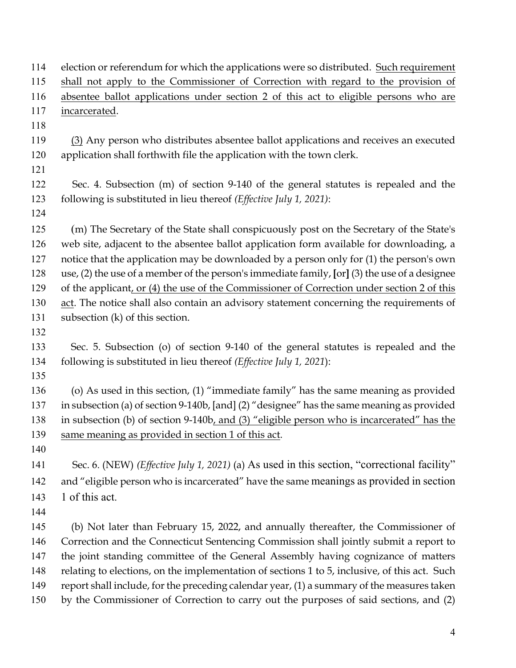| 114 | election or referendum for which the applications were so distributed. Such requirement              |
|-----|------------------------------------------------------------------------------------------------------|
| 115 | shall not apply to the Commissioner of Correction with regard to the provision of                    |
| 116 | absentee ballot applications under section 2 of this act to eligible persons who are                 |
| 117 | incarcerated.                                                                                        |
| 118 |                                                                                                      |
| 119 | (3) Any person who distributes absentee ballot applications and receives an executed                 |
| 120 | application shall forthwith file the application with the town clerk.                                |
| 121 |                                                                                                      |
| 122 | Sec. 4. Subsection (m) of section 9-140 of the general statutes is repealed and the                  |
| 123 | following is substituted in lieu thereof (Effective July 1, 2021):                                   |
| 124 |                                                                                                      |
| 125 | (m) The Secretary of the State shall conspicuously post on the Secretary of the State's              |
| 126 | web site, adjacent to the absentee ballot application form available for downloading, a              |
| 127 | notice that the application may be downloaded by a person only for (1) the person's own              |
| 128 | use, $(2)$ the use of a member of the person's immediate family, $[or]$ $(3)$ the use of a designee  |
| 129 | of the applicant, or (4) the use of the Commissioner of Correction under section 2 of this           |
| 130 | act. The notice shall also contain an advisory statement concerning the requirements of              |
| 131 | subsection $(k)$ of this section.                                                                    |
| 132 |                                                                                                      |
| 133 | Sec. 5. Subsection (o) of section 9-140 of the general statutes is repealed and the                  |
| 134 | following is substituted in lieu thereof (Effective July 1, 2021):                                   |
| 135 |                                                                                                      |
| 136 | (o) As used in this section, $(1)$ "immediate family" has the same meaning as provided               |
| 137 | in subsection (a) of section 9-140b, [and] (2) "designee" has the same meaning as provided           |
| 138 | in subsection (b) of section 9-140b, and (3) "eligible person who is incarcerated" has the           |
| 139 | same meaning as provided in section 1 of this act.                                                   |
| 140 |                                                                                                      |
| 141 | Sec. 6. (NEW) ( <i>Effective July 1, 2021</i> ) (a) As used in this section, "correctional facility" |
| 142 | and "eligible person who is incarcerated" have the same meanings as provided in section              |
| 143 | 1 of this act.                                                                                       |
| 144 |                                                                                                      |
| 145 | (b) Not later than February 15, 2022, and annually thereafter, the Commissioner of                   |
| 146 | Correction and the Connecticut Sentencing Commission shall jointly submit a report to                |
| 147 | the joint standing committee of the General Assembly having cognizance of matters                    |
| 148 | relating to elections, on the implementation of sections 1 to 5, inclusive, of this act. Such        |
| 149 | report shall include, for the preceding calendar year, (1) a summary of the measures taken           |
|     |                                                                                                      |
| 150 | by the Commissioner of Correction to carry out the purposes of said sections, and (2)                |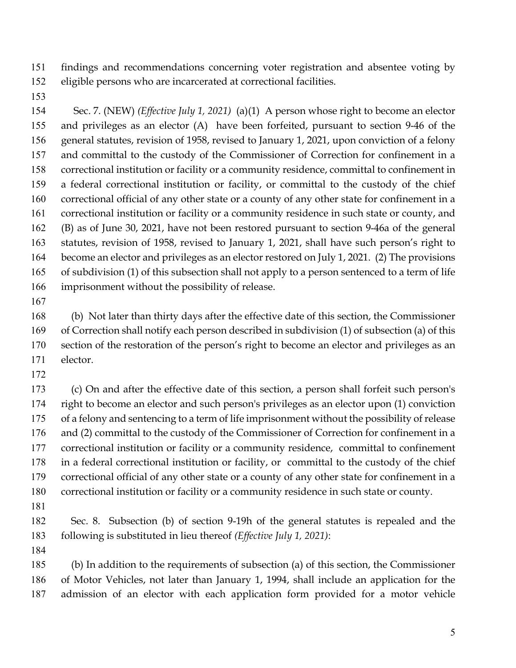findings and recommendations concerning voter registration and absentee voting by eligible persons who are incarcerated at correctional facilities.

 Sec. 7. (NEW) *(Effective July 1, 2021)* (a)(1) A person whose right to become an elector and privileges as an elector (A) have been forfeited, pursuant to section 9-46 of the general statutes, revision of 1958, revised to January 1, 2021, upon conviction of a felony and committal to the custody of the Commissioner of Correction for confinement in a correctional institution or facility or a community residence, committal to confinement in a federal correctional institution or facility, or committal to the custody of the chief correctional official of any other state or a county of any other state for confinement in a correctional institution or facility or a community residence in such state or county, and (B) as of June 30, 2021, have not been restored pursuant to section 9-46a of the general statutes, revision of 1958, revised to January 1, 2021, shall have such person's right to become an elector and privileges as an elector restored on July 1, 2021. (2) The provisions of subdivision (1) of this subsection shall not apply to a person sentenced to a term of life imprisonment without the possibility of release.

 (b) Not later than thirty days after the effective date of this section, the Commissioner of Correction shall notify each person described in subdivision (1) of subsection (a) of this section of the restoration of the person's right to become an elector and privileges as an elector.

 (c) On and after the effective date of this section, a person shall forfeit such person's right to become an elector and such person's privileges as an elector upon (1) conviction of a felony and sentencing to a term of life imprisonment without the possibility of release and (2) committal to the custody of the Commissioner of Correction for confinement in a correctional institution or facility or a community residence, committal to confinement in a federal correctional institution or facility, or committal to the custody of the chief correctional official of any other state or a county of any other state for confinement in a correctional institution or facility or a community residence in such state or county.

 Sec. 8. Subsection (b) of section 9-19h of the general statutes is repealed and the following is substituted in lieu thereof *(Effective July 1, 2021)*:

 (b) In addition to the requirements of subsection (a) of this section, the Commissioner of Motor Vehicles, not later than January 1, 1994, shall include an application for the admission of an elector with each application form provided for a motor vehicle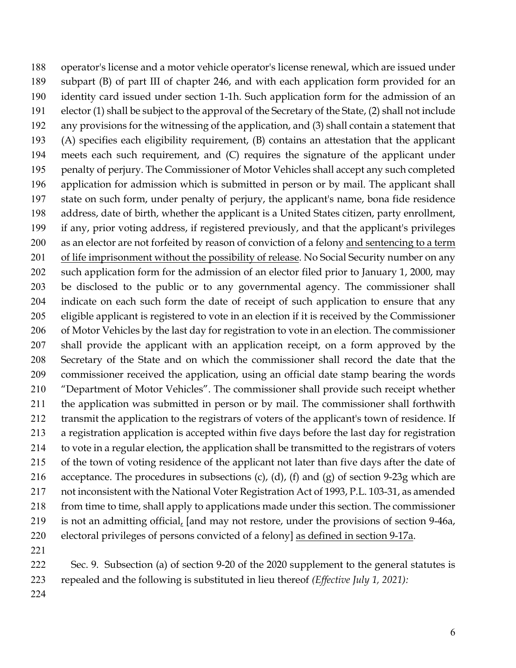operator's license and a motor vehicle operator's license renewal, which are issued under subpart (B) of part III of chapter 246, and with each application form provided for an identity card issued under section 1-1h. Such application form for the admission of an elector (1) shall be subject to the approval of the Secretary of the State, (2) shall not include any provisions for the witnessing of the application, and (3) shall contain a statement that (A) specifies each eligibility requirement, (B) contains an attestation that the applicant meets each such requirement, and (C) requires the signature of the applicant under penalty of perjury. The Commissioner of Motor Vehicles shall accept any such completed application for admission which is submitted in person or by mail. The applicant shall state on such form, under penalty of perjury, the applicant's name, bona fide residence address, date of birth, whether the applicant is a United States citizen, party enrollment, if any, prior voting address, if registered previously, and that the applicant's privileges as an elector are not forfeited by reason of conviction of a felony and sentencing to a term 201 of life imprisonment without the possibility of release. No Social Security number on any such application form for the admission of an elector filed prior to January 1, 2000, may be disclosed to the public or to any governmental agency. The commissioner shall indicate on each such form the date of receipt of such application to ensure that any eligible applicant is registered to vote in an election if it is received by the Commissioner of Motor Vehicles by the last day for registration to vote in an election. The commissioner shall provide the applicant with an application receipt, on a form approved by the Secretary of the State and on which the commissioner shall record the date that the commissioner received the application, using an official date stamp bearing the words "Department of Motor Vehicles". The commissioner shall provide such receipt whether the application was submitted in person or by mail. The commissioner shall forthwith transmit the application to the registrars of voters of the applicant's town of residence. If a registration application is accepted within five days before the last day for registration to vote in a regular election, the application shall be transmitted to the registrars of voters of the town of voting residence of the applicant not later than five days after the date of 216 acceptance. The procedures in subsections (c), (d), (f) and (g) of section 9-23g which are not inconsistent with the National Voter Registration Act of 1993, P.L. 103-31, as amended from time to time, shall apply to applications made under this section. The commissioner is not an admitting official, [and may not restore, under the provisions of section 9-46a, electoral privileges of persons convicted of a felony] as defined in section 9-17a. 

 Sec. 9. Subsection (a) of section 9-20 of the 2020 supplement to the general statutes is repealed and the following is substituted in lieu thereof *(Effective July 1, 2021):*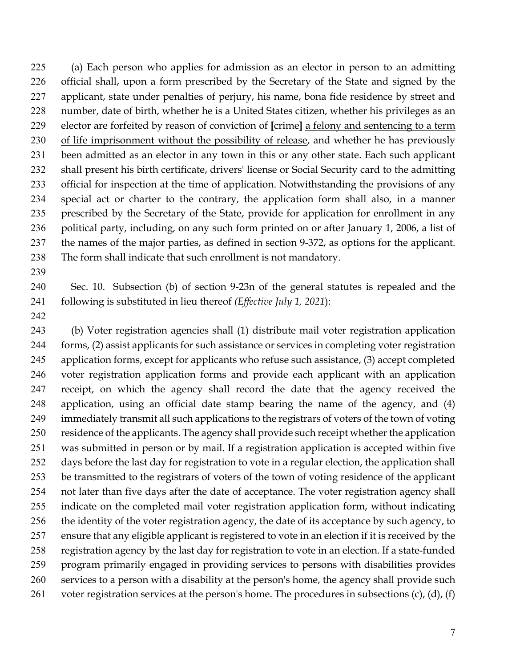(a) Each person who applies for admission as an elector in person to an admitting official shall, upon a form prescribed by the Secretary of the State and signed by the applicant, state under penalties of perjury, his name, bona fide residence by street and number, date of birth, whether he is a United States citizen, whether his privileges as an elector are forfeited by reason of conviction of **[**crime**]** a felony and sentencing to a term of life imprisonment without the possibility of release, and whether he has previously been admitted as an elector in any town in this or any other state. Each such applicant shall present his birth certificate, drivers' license or Social Security card to the admitting official for inspection at the time of application. Notwithstanding the provisions of any special act or charter to the contrary, the application form shall also, in a manner prescribed by the Secretary of the State, provide for application for enrollment in any 236 political party, including, on any such form printed on or after January 1, 2006, a list of the names of the major parties, as defined in section 9-372, as options for the applicant. The form shall indicate that such enrollment is not mandatory.

 Sec. 10. Subsection (b) of section 9-23n of the general statutes is repealed and the following is substituted in lieu thereof *(Effective July 1, 2021*):

 (b) Voter registration agencies shall (1) distribute mail voter registration application forms, (2) assist applicants for such assistance or services in completing voter registration application forms, except for applicants who refuse such assistance, (3) accept completed voter registration application forms and provide each applicant with an application receipt, on which the agency shall record the date that the agency received the application, using an official date stamp bearing the name of the agency, and (4) immediately transmit all such applications to the registrars of voters of the town of voting residence of the applicants. The agency shall provide such receipt whether the application was submitted in person or by mail. If a registration application is accepted within five days before the last day for registration to vote in a regular election, the application shall be transmitted to the registrars of voters of the town of voting residence of the applicant not later than five days after the date of acceptance. The voter registration agency shall indicate on the completed mail voter registration application form, without indicating the identity of the voter registration agency, the date of its acceptance by such agency, to ensure that any eligible applicant is registered to vote in an election if it is received by the registration agency by the last day for registration to vote in an election. If a state-funded program primarily engaged in providing services to persons with disabilities provides services to a person with a disability at the person's home, the agency shall provide such 261 voter registration services at the person's home. The procedures in subsections  $(c)$ ,  $(d)$ ,  $(f)$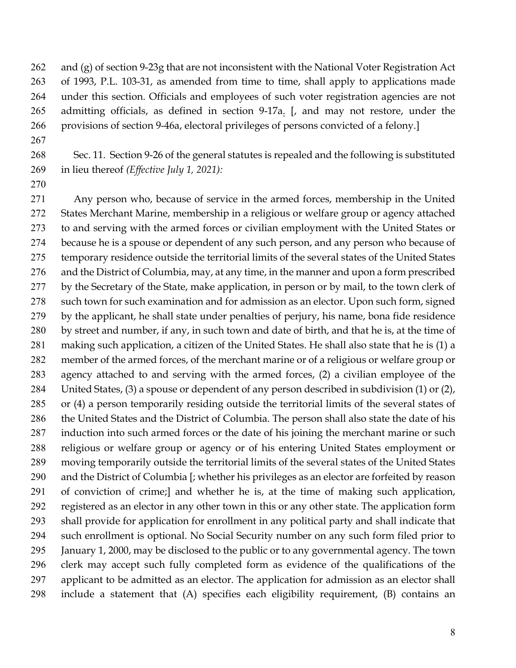and (g) of section 9-23g that are not inconsistent with the National Voter Registration Act of 1993, P.L. 103-31, as amended from time to time, shall apply to applications made under this section. Officials and employees of such voter registration agencies are not admitting officials, as defined in section 9-17a. [, and may not restore, under the provisions of section 9-46a, electoral privileges of persons convicted of a felony.]

 Sec. 11. Section 9-26 of the general statutes is repealed and the following is substituted in lieu thereof *(Effective July 1, 2021):*

 Any person who, because of service in the armed forces, membership in the United States Merchant Marine, membership in a religious or welfare group or agency attached to and serving with the armed forces or civilian employment with the United States or because he is a spouse or dependent of any such person, and any person who because of temporary residence outside the territorial limits of the several states of the United States and the District of Columbia, may, at any time, in the manner and upon a form prescribed by the Secretary of the State, make application, in person or by mail, to the town clerk of such town for such examination and for admission as an elector. Upon such form, signed by the applicant, he shall state under penalties of perjury, his name, bona fide residence by street and number, if any, in such town and date of birth, and that he is, at the time of making such application, a citizen of the United States. He shall also state that he is (1) a member of the armed forces, of the merchant marine or of a religious or welfare group or agency attached to and serving with the armed forces, (2) a civilian employee of the United States, (3) a spouse or dependent of any person described in subdivision (1) or (2), or (4) a person temporarily residing outside the territorial limits of the several states of the United States and the District of Columbia. The person shall also state the date of his induction into such armed forces or the date of his joining the merchant marine or such religious or welfare group or agency or of his entering United States employment or moving temporarily outside the territorial limits of the several states of the United States and the District of Columbia [; whether his privileges as an elector are forfeited by reason of conviction of crime;] and whether he is, at the time of making such application, registered as an elector in any other town in this or any other state. The application form shall provide for application for enrollment in any political party and shall indicate that such enrollment is optional. No Social Security number on any such form filed prior to January 1, 2000, may be disclosed to the public or to any governmental agency. The town clerk may accept such fully completed form as evidence of the qualifications of the applicant to be admitted as an elector. The application for admission as an elector shall include a statement that (A) specifies each eligibility requirement, (B) contains an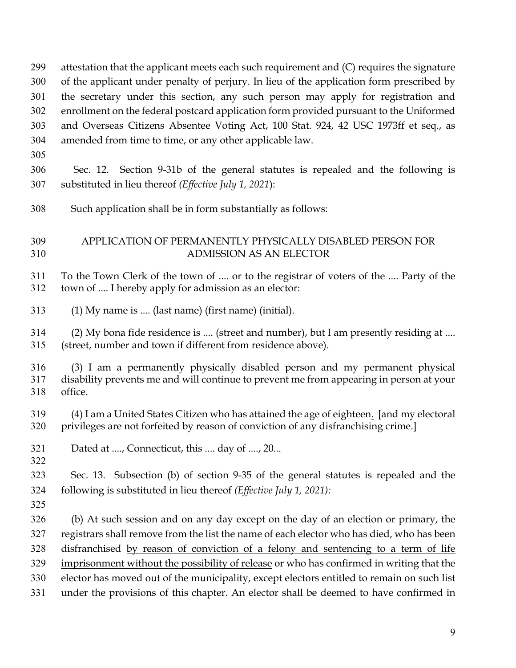the secretary under this section, any such person may apply for registration and enrollment on the federal postcard application form provided pursuant to the Uniformed and Overseas Citizens Absentee Voting Act, 100 Stat. 924, 42 USC 1973ff et seq., as amended from time to time, or any other applicable law. Sec. 12. Section 9-31b of the general statutes is repealed and the following is substituted in lieu thereof *(Effective July 1, 2021*): Such application shall be in form substantially as follows: APPLICATION OF PERMANENTLY PHYSICALLY DISABLED PERSON FOR ADMISSION AS AN ELECTOR To the Town Clerk of the town of .... or to the registrar of voters of the .... Party of the town of .... I hereby apply for admission as an elector: (1) My name is .... (last name) (first name) (initial). (2) My bona fide residence is .... (street and number), but I am presently residing at .... (street, number and town if different from residence above). (3) I am a permanently physically disabled person and my permanent physical disability prevents me and will continue to prevent me from appearing in person at your office. (4) I am a United States Citizen who has attained the age of eighteen. [and my electoral privileges are not forfeited by reason of conviction of any disfranchising crime.] Dated at ...., Connecticut, this .... day of ...., 20... Sec. 13. Subsection (b) of section 9-35 of the general statutes is repealed and the following is substituted in lieu thereof *(Effective July 1, 2021):* (b) At such session and on any day except on the day of an election or primary, the registrars shall remove from the list the name of each elector who has died, who has been disfranchised by reason of conviction of a felony and sentencing to a term of life imprisonment without the possibility of release or who has confirmed in writing that the elector has moved out of the municipality, except electors entitled to remain on such list under the provisions of this chapter. An elector shall be deemed to have confirmed in

 attestation that the applicant meets each such requirement and (C) requires the signature of the applicant under penalty of perjury. In lieu of the application form prescribed by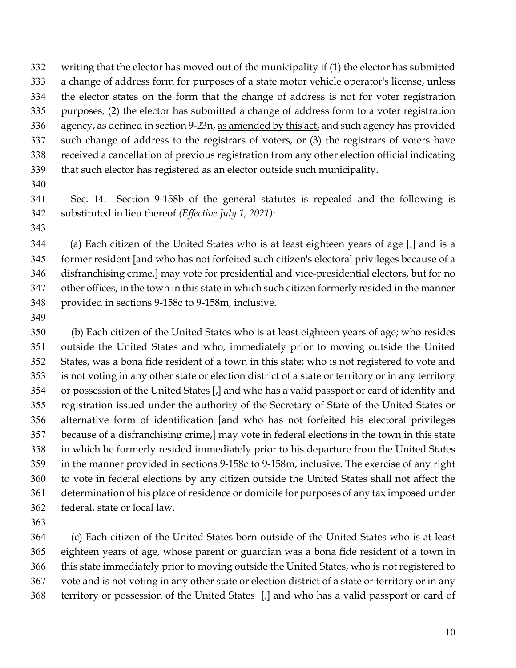writing that the elector has moved out of the municipality if (1) the elector has submitted a change of address form for purposes of a state motor vehicle operator's license, unless the elector states on the form that the change of address is not for voter registration purposes, (2) the elector has submitted a change of address form to a voter registration agency, as defined in section 9-23n, as amended by this act, and such agency has provided such change of address to the registrars of voters, or (3) the registrars of voters have received a cancellation of previous registration from any other election official indicating that such elector has registered as an elector outside such municipality.

 Sec. 14. Section 9-158b of the general statutes is repealed and the following is substituted in lieu thereof *(Effective July 1, 2021):*

(a) Each citizen of the United States who is at least eighteen years of age [,] and is a former resident [and who has not forfeited such citizen's electoral privileges because of a disfranchising crime,] may vote for presidential and vice-presidential electors, but for no other offices, in the town in this state in which such citizen formerly resided in the manner provided in sections 9-158c to 9-158m, inclusive.

 (b) Each citizen of the United States who is at least eighteen years of age; who resides outside the United States and who, immediately prior to moving outside the United States, was a bona fide resident of a town in this state; who is not registered to vote and is not voting in any other state or election district of a state or territory or in any territory or possession of the United States [,] and who has a valid passport or card of identity and registration issued under the authority of the Secretary of State of the United States or alternative form of identification [and who has not forfeited his electoral privileges because of a disfranchising crime,] may vote in federal elections in the town in this state in which he formerly resided immediately prior to his departure from the United States in the manner provided in sections 9-158c to 9-158m, inclusive. The exercise of any right to vote in federal elections by any citizen outside the United States shall not affect the determination of his place of residence or domicile for purposes of any tax imposed under federal, state or local law.

 (c) Each citizen of the United States born outside of the United States who is at least eighteen years of age, whose parent or guardian was a bona fide resident of a town in this state immediately prior to moving outside the United States, who is not registered to vote and is not voting in any other state or election district of a state or territory or in any territory or possession of the United States [,] and who has a valid passport or card of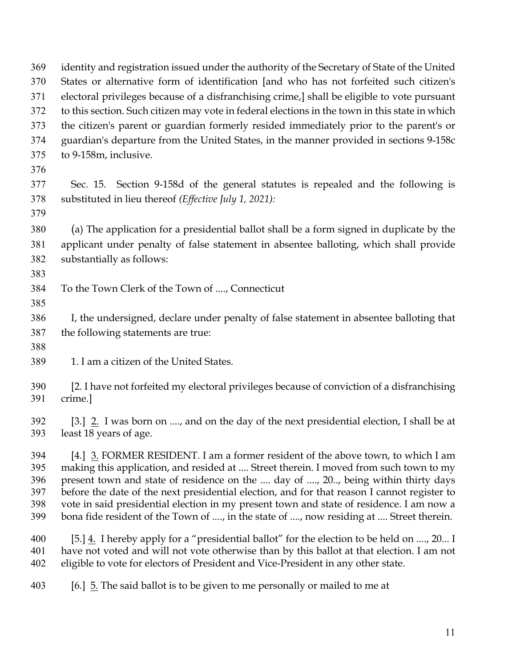| 369 | identity and registration issued under the authority of the Secretary of State of the United            |
|-----|---------------------------------------------------------------------------------------------------------|
| 370 | States or alternative form of identification [and who has not forfeited such citizen's                  |
| 371 | electoral privileges because of a disfranchising crime,] shall be eligible to vote pursuant             |
| 372 | to this section. Such citizen may vote in federal elections in the town in this state in which          |
| 373 | the citizen's parent or guardian formerly resided immediately prior to the parent's or                  |
| 374 | guardian's departure from the United States, in the manner provided in sections 9-158c                  |
| 375 | to 9-158m, inclusive.                                                                                   |
| 376 |                                                                                                         |
| 377 | Sec. 15. Section 9-158d of the general statutes is repealed and the following is                        |
| 378 | substituted in lieu thereof (Effective July 1, 2021):                                                   |
| 379 |                                                                                                         |
| 380 | (a) The application for a presidential ballot shall be a form signed in duplicate by the                |
| 381 | applicant under penalty of false statement in absentee balloting, which shall provide                   |
| 382 | substantially as follows:                                                                               |
| 383 |                                                                                                         |
| 384 | To the Town Clerk of the Town of , Connecticut                                                          |
| 385 |                                                                                                         |
| 386 | I, the undersigned, declare under penalty of false statement in absentee balloting that                 |
| 387 | the following statements are true:                                                                      |
| 388 |                                                                                                         |
| 389 | 1. I am a citizen of the United States.                                                                 |
|     |                                                                                                         |
| 390 | [2. I have not forfeited my electoral privileges because of conviction of a disfranchising              |
| 391 | crime.]                                                                                                 |
| 392 | [3.] 2. I was born on , and on the day of the next presidential election, I shall be at                 |
| 393 | least 18 years of age.                                                                                  |
| 394 | [4.] 3. FORMER RESIDENT. I am a former resident of the above town, to which I am                        |
| 395 | making this application, and resided at  Street therein. I moved from such town to my                   |
| 396 | present town and state of residence on the  day of , 20, being within thirty days                       |
| 397 | before the date of the next presidential election, and for that reason I cannot register to             |
| 398 | vote in said presidential election in my present town and state of residence. I am now a                |
| 399 | bona fide resident of the Town of , in the state of , now residing at  Street therein.                  |
| 400 | [5.] $\underline{4}$ . I hereby apply for a "presidential ballot" for the election to be held on , 20 I |
| 401 | have not voted and will not vote otherwise than by this ballot at that election. I am not               |
| 402 | eligible to vote for electors of President and Vice-President in any other state.                       |
| 403 | [6.] 5. The said ballot is to be given to me personally or mailed to me at                              |
|     |                                                                                                         |
|     |                                                                                                         |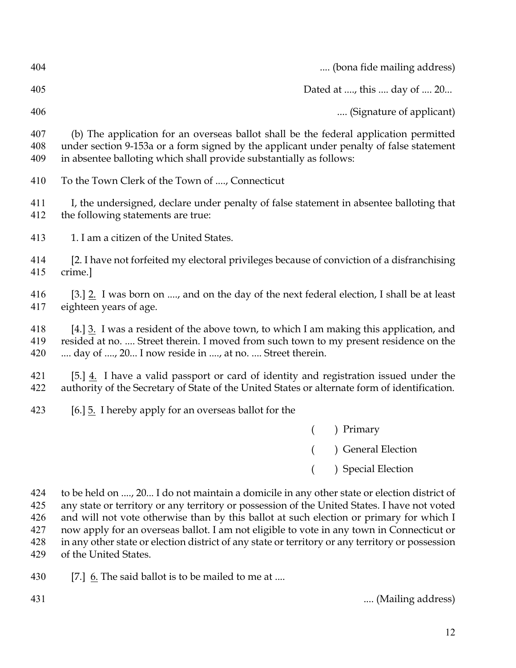| 404               | (bona fide mailing address)                                                                                                                                                                                                                             |  |  |
|-------------------|---------------------------------------------------------------------------------------------------------------------------------------------------------------------------------------------------------------------------------------------------------|--|--|
| 405               | Dated at , this  day of  20                                                                                                                                                                                                                             |  |  |
| 406               | (Signature of applicant)                                                                                                                                                                                                                                |  |  |
| 407<br>408<br>409 | (b) The application for an overseas ballot shall be the federal application permitted<br>under section 9-153a or a form signed by the applicant under penalty of false statement<br>in absentee balloting which shall provide substantially as follows: |  |  |
| 410               | To the Town Clerk of the Town of , Connecticut                                                                                                                                                                                                          |  |  |
| 411<br>412        | I, the undersigned, declare under penalty of false statement in absentee balloting that<br>the following statements are true:                                                                                                                           |  |  |
| 413               | 1. I am a citizen of the United States.                                                                                                                                                                                                                 |  |  |
| 414<br>415        | [2. I have not forfeited my electoral privileges because of conviction of a disfranchising<br>crime.]                                                                                                                                                   |  |  |
| 416<br>417        | [3.] 2. I was born on , and on the day of the next federal election, I shall be at least<br>eighteen years of age.                                                                                                                                      |  |  |
| 418<br>419<br>420 | [4.] $\underline{3}$ . I was a resident of the above town, to which I am making this application, and<br>resided at no.  Street therein. I moved from such town to my present residence on the<br>day of , 20 I now reside in , at no.  Street therein. |  |  |
| 421<br>422        | [5.] $\underline{4}$ . I have a valid passport or card of identity and registration issued under the<br>authority of the Secretary of State of the United States or alternate form of identification.                                                   |  |  |
| 423               | [6.] 5. I hereby apply for an overseas ballot for the                                                                                                                                                                                                   |  |  |
|                   | Primary<br>$\left($                                                                                                                                                                                                                                     |  |  |
|                   | ) General Election                                                                                                                                                                                                                                      |  |  |
|                   | ) Special Election                                                                                                                                                                                                                                      |  |  |
| 424<br>425        | to be held on , 20 I do not maintain a domicile in any other state or election district of<br>any state or territory or any territory or possession of the United States. I have not voted                                                              |  |  |

 and will not vote otherwise than by this ballot at such election or primary for which I now apply for an overseas ballot. I am not eligible to vote in any town in Connecticut or in any other state or election district of any state or territory or any territory or possession of the United States.

430 [7.]  $6.$  The said ballot is to be mailed to me at ....

.... (Mailing address)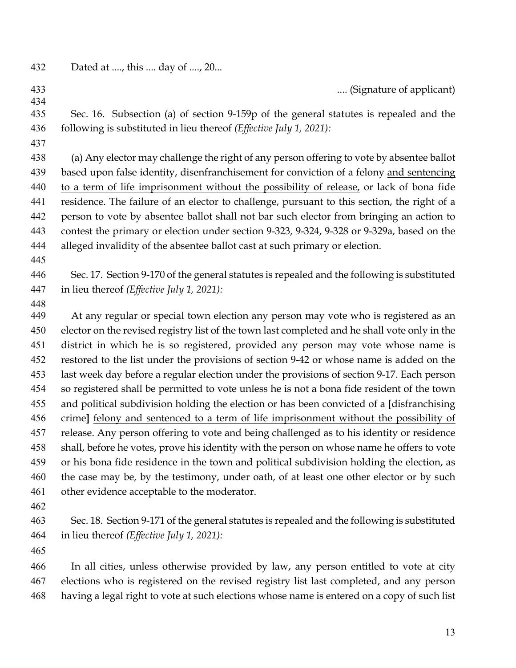| 432 | Dated at , this  day of , 20 |  |  |
|-----|------------------------------|--|--|
|     |                              |  |  |
|     |                              |  |  |

- .... (Signature of applicant) Sec. 16. Subsection (a) of section 9-159p of the general statutes is repealed and the following is substituted in lieu thereof *(Effective July 1, 2021):*
- 

 (a) Any elector may challenge the right of any person offering to vote by absentee ballot based upon false identity, disenfranchisement for conviction of a felony and sentencing to a term of life imprisonment without the possibility of release, or lack of bona fide residence. The failure of an elector to challenge, pursuant to this section, the right of a person to vote by absentee ballot shall not bar such elector from bringing an action to contest the primary or election under section 9-323, 9-324, 9-328 or 9-329a, based on the alleged invalidity of the absentee ballot cast at such primary or election.

 Sec. 17. Section 9-170 of the general statutes is repealed and the following is substituted in lieu thereof *(Effective July 1, 2021):*

At any regular or special town election any person may vote who is registered as an elector on the revised registry list of the town last completed and he shall vote only in the district in which he is so registered, provided any person may vote whose name is restored to the list under the provisions of section 9-42 or whose name is added on the last week day before a regular election under the provisions of section 9-17. Each person so registered shall be permitted to vote unless he is not a bona fide resident of the town and political subdivision holding the election or has been convicted of a **[**disfranchising crime**]** felony and sentenced to a term of life imprisonment without the possibility of release. Any person offering to vote and being challenged as to his identity or residence shall, before he votes, prove his identity with the person on whose name he offers to vote or his bona fide residence in the town and political subdivision holding the election, as the case may be, by the testimony, under oath, of at least one other elector or by such other evidence acceptable to the moderator.

 Sec. 18. Section 9-171 of the general statutes is repealed and the following is substituted in lieu thereof *(Effective July 1, 2021):*

 In all cities, unless otherwise provided by law, any person entitled to vote at city elections who is registered on the revised registry list last completed, and any person having a legal right to vote at such elections whose name is entered on a copy of such list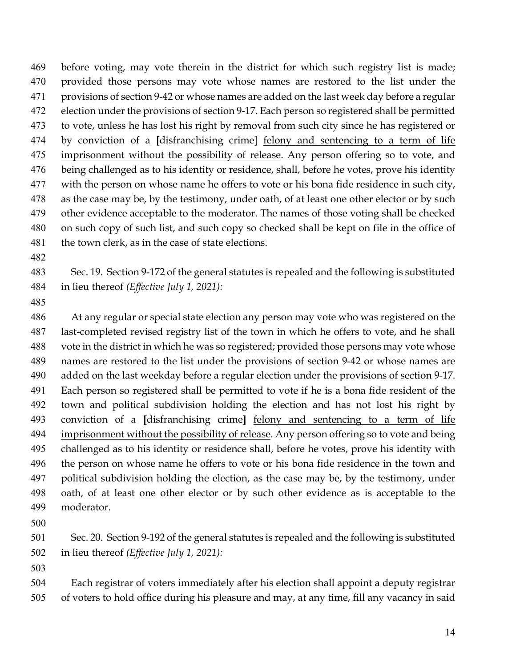before voting, may vote therein in the district for which such registry list is made; provided those persons may vote whose names are restored to the list under the provisions of section 9-42 or whose names are added on the last week day before a regular election under the provisions of section 9-17. Each person so registered shall be permitted to vote, unless he has lost his right by removal from such city since he has registered or by conviction of a **[**disfranchising crime] felony and sentencing to a term of life imprisonment without the possibility of release. Any person offering so to vote, and being challenged as to his identity or residence, shall, before he votes, prove his identity 477 with the person on whose name he offers to vote or his bona fide residence in such city, as the case may be, by the testimony, under oath, of at least one other elector or by such other evidence acceptable to the moderator. The names of those voting shall be checked on such copy of such list, and such copy so checked shall be kept on file in the office of 481 the town clerk, as in the case of state elections.

 Sec. 19. Section 9-172 of the general statutes is repealed and the following is substituted in lieu thereof *(Effective July 1, 2021):*

 At any regular or special state election any person may vote who was registered on the last-completed revised registry list of the town in which he offers to vote, and he shall vote in the district in which he was so registered; provided those persons may vote whose names are restored to the list under the provisions of section 9-42 or whose names are added on the last weekday before a regular election under the provisions of section 9-17. Each person so registered shall be permitted to vote if he is a bona fide resident of the town and political subdivision holding the election and has not lost his right by conviction of a **[**disfranchising crime**]** felony and sentencing to a term of life 494 imprisonment without the possibility of release. Any person offering so to vote and being challenged as to his identity or residence shall, before he votes, prove his identity with the person on whose name he offers to vote or his bona fide residence in the town and political subdivision holding the election, as the case may be, by the testimony, under oath, of at least one other elector or by such other evidence as is acceptable to the moderator.

 Sec. 20. Section 9-192 of the general statutes is repealed and the following is substituted in lieu thereof *(Effective July 1, 2021):*

 Each registrar of voters immediately after his election shall appoint a deputy registrar of voters to hold office during his pleasure and may, at any time, fill any vacancy in said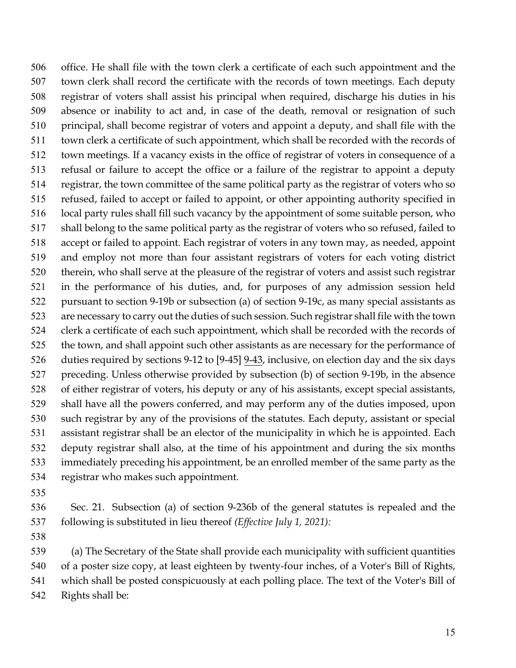office. He shall file with the town clerk a certificate of each such appointment and the town clerk shall record the certificate with the records of town meetings. Each deputy registrar of voters shall assist his principal when required, discharge his duties in his absence or inability to act and, in case of the death, removal or resignation of such principal, shall become registrar of voters and appoint a deputy, and shall file with the town clerk a certificate of such appointment, which shall be recorded with the records of town meetings. If a vacancy exists in the office of registrar of voters in consequence of a refusal or failure to accept the office or a failure of the registrar to appoint a deputy registrar, the town committee of the same political party as the registrar of voters who so refused, failed to accept or failed to appoint, or other appointing authority specified in local party rules shall fill such vacancy by the appointment of some suitable person, who shall belong to the same political party as the registrar of voters who so refused, failed to accept or failed to appoint. Each registrar of voters in any town may, as needed, appoint and employ not more than four assistant registrars of voters for each voting district therein, who shall serve at the pleasure of the registrar of voters and assist such registrar in the performance of his duties, and, for purposes of any admission session held pursuant to section 9-19b or subsection (a) of section 9-19c, as many special assistants as are necessary to carry out the duties of such session. Such registrar shall file with the town clerk a certificate of each such appointment, which shall be recorded with the records of 525 the town, and shall appoint such other assistants as are necessary for the performance of 526 duties required by sections 9-12 to [9-45]  $9-43$ , inclusive, on election day and the six days preceding. Unless otherwise provided by subsection (b) of section 9-19b, in the absence of either registrar of voters, his deputy or any of his assistants, except special assistants, shall have all the powers conferred, and may perform any of the duties imposed, upon such registrar by any of the provisions of the statutes. Each deputy, assistant or special assistant registrar shall be an elector of the municipality in which he is appointed. Each deputy registrar shall also, at the time of his appointment and during the six months immediately preceding his appointment, be an enrolled member of the same party as the registrar who makes such appointment.

 Sec. 21. Subsection (a) of section 9-236b of the general statutes is repealed and the following is substituted in lieu thereof *(Effective July 1, 2021):*

 (a) The Secretary of the State shall provide each municipality with sufficient quantities of a poster size copy, at least eighteen by twenty-four inches, of a Voter's Bill of Rights, which shall be posted conspicuously at each polling place. The text of the Voter's Bill of

Rights shall be: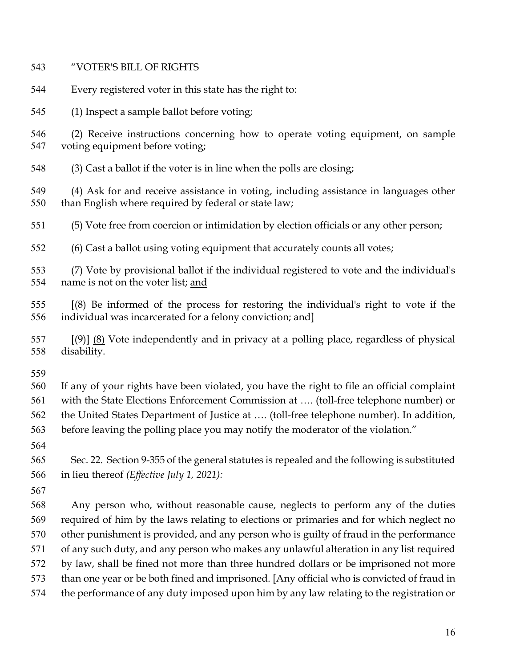| 543        | "VOTER'S BILL OF RIGHTS                                                                                                                                                    |
|------------|----------------------------------------------------------------------------------------------------------------------------------------------------------------------------|
| 544        | Every registered voter in this state has the right to:                                                                                                                     |
| 545        | (1) Inspect a sample ballot before voting;                                                                                                                                 |
| 546<br>547 | (2) Receive instructions concerning how to operate voting equipment, on sample<br>voting equipment before voting;                                                          |
| 548        | (3) Cast a ballot if the voter is in line when the polls are closing;                                                                                                      |
| 549<br>550 | (4) Ask for and receive assistance in voting, including assistance in languages other<br>than English where required by federal or state law;                              |
| 551        | (5) Vote free from coercion or intimidation by election officials or any other person;                                                                                     |
| 552        | (6) Cast a ballot using voting equipment that accurately counts all votes;                                                                                                 |
| 553<br>554 | (7) Vote by provisional ballot if the individual registered to vote and the individual's<br>name is not on the voter list; and                                             |
| 555<br>556 | $[8]$ Be informed of the process for restoring the individual's right to vote if the<br>individual was incarcerated for a felony conviction; and]                          |
| 557<br>558 | $[9]$ (8) Vote independently and in privacy at a polling place, regardless of physical<br>disability.                                                                      |
| 559        |                                                                                                                                                                            |
| 560        | If any of your rights have been violated, you have the right to file an official complaint                                                                                 |
| 561        | with the State Elections Enforcement Commission at  (toll-free telephone number) or                                                                                        |
| 562        | the United States Department of Justice at  (toll-free telephone number). In addition,                                                                                     |
| 563        | before leaving the polling place you may notify the moderator of the violation."                                                                                           |
| 564        |                                                                                                                                                                            |
| 565        | Sec. 22. Section 9-355 of the general statutes is repealed and the following is substituted                                                                                |
| 566        | in lieu thereof (Effective July 1, 2021):                                                                                                                                  |
| 567<br>568 |                                                                                                                                                                            |
| 569        | Any person who, without reasonable cause, neglects to perform any of the duties<br>required of him by the laws relating to elections or primaries and for which neglect no |
| 570        | other punishment is provided, and any person who is guilty of fraud in the performance                                                                                     |
| 571        | of any such duty, and any person who makes any unlawful alteration in any list required                                                                                    |
| 572        | by law, shall be fined not more than three hundred dollars or be imprisoned not more                                                                                       |
| 573        | than one year or be both fined and imprisoned. [Any official who is convicted of fraud in                                                                                  |
| 574        | the performance of any duty imposed upon him by any law relating to the registration or                                                                                    |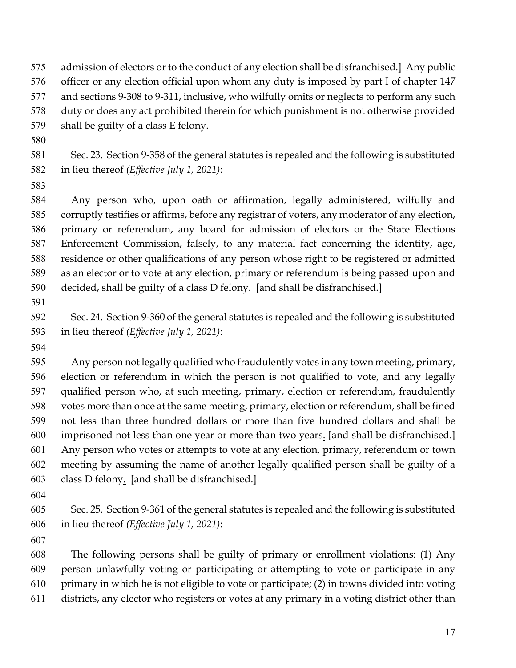admission of electors or to the conduct of any election shall be disfranchised.] Any public officer or any election official upon whom any duty is imposed by part I of chapter 147 and sections 9-308 to 9-311, inclusive, who wilfully omits or neglects to perform any such duty or does any act prohibited therein for which punishment is not otherwise provided

shall be guilty of a class E felony.

 Sec. 23. Section 9-358 of the general statutes is repealed and the following is substituted in lieu thereof *(Effective July 1, 2021)*:

 Any person who, upon oath or affirmation, legally administered, wilfully and corruptly testifies or affirms, before any registrar of voters, any moderator of any election, primary or referendum, any board for admission of electors or the State Elections Enforcement Commission, falsely, to any material fact concerning the identity, age, residence or other qualifications of any person whose right to be registered or admitted as an elector or to vote at any election, primary or referendum is being passed upon and decided, shall be guilty of a class D felony. [and shall be disfranchised.]

 Sec. 24. Section 9-360 of the general statutes is repealed and the following is substituted in lieu thereof *(Effective July 1, 2021)*:

 Any person not legally qualified who fraudulently votes in any town meeting, primary, election or referendum in which the person is not qualified to vote, and any legally qualified person who, at such meeting, primary, election or referendum, fraudulently votes more than once at the same meeting, primary, election or referendum, shall be fined not less than three hundred dollars or more than five hundred dollars and shall be imprisoned not less than one year or more than two years. [and shall be disfranchised.] Any person who votes or attempts to vote at any election, primary, referendum or town meeting by assuming the name of another legally qualified person shall be guilty of a class D felony. [and shall be disfranchised.]

 Sec. 25. Section 9-361 of the general statutes is repealed and the following is substituted in lieu thereof *(Effective July 1, 2021)*:

 The following persons shall be guilty of primary or enrollment violations: (1) Any person unlawfully voting or participating or attempting to vote or participate in any

- primary in which he is not eligible to vote or participate; (2) in towns divided into voting
- districts, any elector who registers or votes at any primary in a voting district other than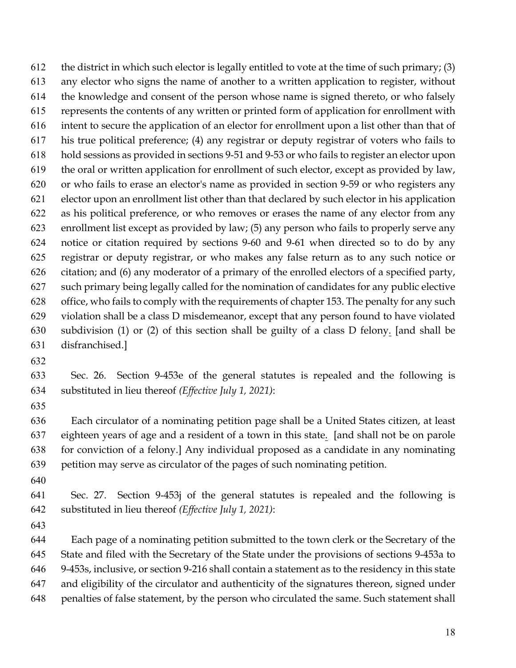612 the district in which such elector is legally entitled to vote at the time of such primary;  $(3)$  any elector who signs the name of another to a written application to register, without the knowledge and consent of the person whose name is signed thereto, or who falsely represents the contents of any written or printed form of application for enrollment with intent to secure the application of an elector for enrollment upon a list other than that of his true political preference; (4) any registrar or deputy registrar of voters who fails to hold sessions as provided in sections 9-51 and 9-53 or who fails to register an elector upon the oral or written application for enrollment of such elector, except as provided by law, or who fails to erase an elector's name as provided in section 9-59 or who registers any elector upon an enrollment list other than that declared by such elector in his application as his political preference, or who removes or erases the name of any elector from any enrollment list except as provided by law; (5) any person who fails to properly serve any notice or citation required by sections 9-60 and 9-61 when directed so to do by any registrar or deputy registrar, or who makes any false return as to any such notice or citation; and (6) any moderator of a primary of the enrolled electors of a specified party, such primary being legally called for the nomination of candidates for any public elective office, who fails to comply with the requirements of chapter 153. The penalty for any such violation shall be a class D misdemeanor, except that any person found to have violated subdivision (1) or (2) of this section shall be guilty of a class D felony. [and shall be disfranchised.]

 Sec. 26. Section 9-453e of the general statutes is repealed and the following is substituted in lieu thereof *(Effective July 1, 2021)*:

 Each circulator of a nominating petition page shall be a United States citizen, at least eighteen years of age and a resident of a town in this state. [and shall not be on parole for conviction of a felony.] Any individual proposed as a candidate in any nominating petition may serve as circulator of the pages of such nominating petition.

 Sec. 27. Section 9-453j of the general statutes is repealed and the following is substituted in lieu thereof *(Effective July 1, 2021)*:

 Each page of a nominating petition submitted to the town clerk or the Secretary of the State and filed with the Secretary of the State under the provisions of sections 9-453a to 9-453s, inclusive, or section 9-216 shall contain a statement as to the residency in this state and eligibility of the circulator and authenticity of the signatures thereon, signed under penalties of false statement, by the person who circulated the same. Such statement shall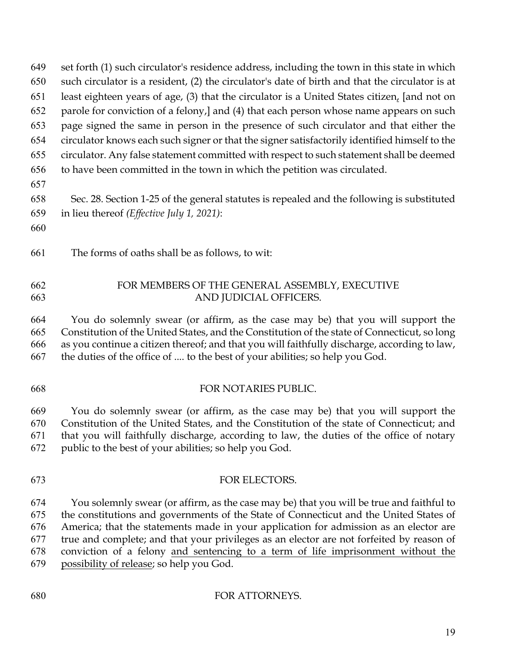|     | $101$ $\mu$ , $\sigma$ and the contract $\sigma$ restation to the collection $\sigma$ and the mass state in the collection |
|-----|----------------------------------------------------------------------------------------------------------------------------|
| 650 | such circulator is a resident, (2) the circulator's date of birth and that the circulator is at                            |
| 651 | least eighteen years of age, (3) that the circulator is a United States citizen, [and not on                               |
| 652 | parole for conviction of a felony, and (4) that each person whose name appears on such                                     |
| 653 | page signed the same in person in the presence of such circulator and that either the                                      |
| 654 | circulator knows each such signer or that the signer satisfactorily identified himself to the                              |
| 655 | circulator. Any false statement committed with respect to such statement shall be deemed                                   |
| 656 | to have been committed in the town in which the petition was circulated.                                                   |
| 657 |                                                                                                                            |
| 658 | Sec. 28. Section 1-25 of the general statutes is repealed and the following is substituted                                 |
| 659 | in lieu thereof ( <i>Effective July 1, 2021</i> ):                                                                         |
| 660 |                                                                                                                            |
|     |                                                                                                                            |
| 661 | The forms of oaths shall be as follows, to wit:                                                                            |
|     |                                                                                                                            |

set forth (1) such circulator's residence address, including the town in this state in which

## FOR MEMBERS OF THE GENERAL ASSEMBLY, EXECUTIVE AND JUDICIAL OFFICERS.

 You do solemnly swear (or affirm, as the case may be) that you will support the Constitution of the United States, and the Constitution of the state of Connecticut, so long as you continue a citizen thereof; and that you will faithfully discharge, according to law, the duties of the office of .... to the best of your abilities; so help you God.

# FOR NOTARIES PUBLIC.

 You do solemnly swear (or affirm, as the case may be) that you will support the Constitution of the United States, and the Constitution of the state of Connecticut; and that you will faithfully discharge, according to law, the duties of the office of notary public to the best of your abilities; so help you God.

 FOR ELECTORS. You solemnly swear (or affirm, as the case may be) that you will be true and faithful to the constitutions and governments of the State of Connecticut and the United States of America; that the statements made in your application for admission as an elector are true and complete; and that your privileges as an elector are not forfeited by reason of conviction of a felony and sentencing to a term of life imprisonment without the possibility of release; so help you God.

# FOR ATTORNEYS.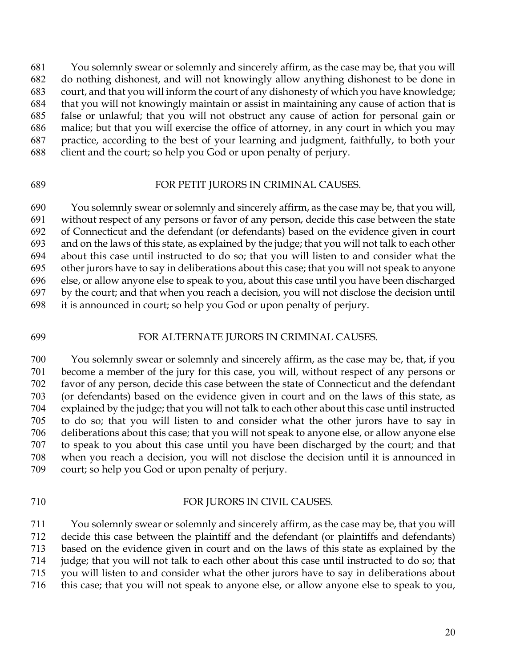You solemnly swear or solemnly and sincerely affirm, as the case may be, that you will do nothing dishonest, and will not knowingly allow anything dishonest to be done in court, and that you will inform the court of any dishonesty of which you have knowledge; that you will not knowingly maintain or assist in maintaining any cause of action that is false or unlawful; that you will not obstruct any cause of action for personal gain or malice; but that you will exercise the office of attorney, in any court in which you may practice, according to the best of your learning and judgment, faithfully, to both your client and the court; so help you God or upon penalty of perjury.

#### FOR PETIT JURORS IN CRIMINAL CAUSES.

 You solemnly swear or solemnly and sincerely affirm, as the case may be, that you will, without respect of any persons or favor of any person, decide this case between the state of Connecticut and the defendant (or defendants) based on the evidence given in court and on the laws of this state, as explained by the judge; that you will not talk to each other about this case until instructed to do so; that you will listen to and consider what the other jurors have to say in deliberations about this case; that you will not speak to anyone else, or allow anyone else to speak to you, about this case until you have been discharged by the court; and that when you reach a decision, you will not disclose the decision until it is announced in court; so help you God or upon penalty of perjury.

## FOR ALTERNATE JURORS IN CRIMINAL CAUSES.

 You solemnly swear or solemnly and sincerely affirm, as the case may be, that, if you become a member of the jury for this case, you will, without respect of any persons or favor of any person, decide this case between the state of Connecticut and the defendant (or defendants) based on the evidence given in court and on the laws of this state, as explained by the judge; that you will not talk to each other about this case until instructed to do so; that you will listen to and consider what the other jurors have to say in deliberations about this case; that you will not speak to anyone else, or allow anyone else to speak to you about this case until you have been discharged by the court; and that when you reach a decision, you will not disclose the decision until it is announced in court; so help you God or upon penalty of perjury.

#### FOR JURORS IN CIVIL CAUSES.

 You solemnly swear or solemnly and sincerely affirm, as the case may be, that you will decide this case between the plaintiff and the defendant (or plaintiffs and defendants) based on the evidence given in court and on the laws of this state as explained by the judge; that you will not talk to each other about this case until instructed to do so; that you will listen to and consider what the other jurors have to say in deliberations about this case; that you will not speak to anyone else, or allow anyone else to speak to you,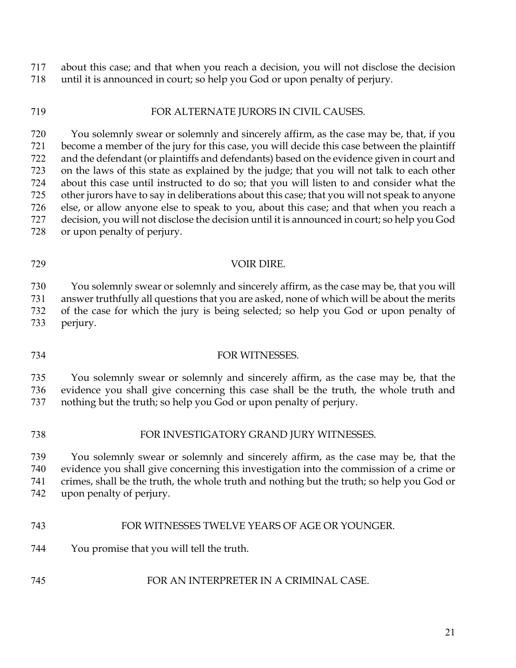about this case; and that when you reach a decision, you will not disclose the decision until it is announced in court; so help you God or upon penalty of perjury.

## FOR ALTERNATE JURORS IN CIVIL CAUSES.

 You solemnly swear or solemnly and sincerely affirm, as the case may be, that, if you become a member of the jury for this case, you will decide this case between the plaintiff and the defendant (or plaintiffs and defendants) based on the evidence given in court and on the laws of this state as explained by the judge; that you will not talk to each other about this case until instructed to do so; that you will listen to and consider what the other jurors have to say in deliberations about this case; that you will not speak to anyone else, or allow anyone else to speak to you, about this case; and that when you reach a decision, you will not disclose the decision until it is announced in court; so help you God or upon penalty of perjury.

 You solemnly swear or solemnly and sincerely affirm, as the case may be, that you will answer truthfully all questions that you are asked, none of which will be about the merits of the case for which the jury is being selected; so help you God or upon penalty of perjury.

### FOR WITNESSES.

VOIR DIRE.

 You solemnly swear or solemnly and sincerely affirm, as the case may be, that the evidence you shall give concerning this case shall be the truth, the whole truth and nothing but the truth; so help you God or upon penalty of perjury.

#### FOR INVESTIGATORY GRAND JURY WITNESSES.

 You solemnly swear or solemnly and sincerely affirm, as the case may be, that the evidence you shall give concerning this investigation into the commission of a crime or crimes, shall be the truth, the whole truth and nothing but the truth; so help you God or upon penalty of perjury.

#### FOR WITNESSES TWELVE YEARS OF AGE OR YOUNGER.

You promise that you will tell the truth.

### FOR AN INTERPRETER IN A CRIMINAL CASE.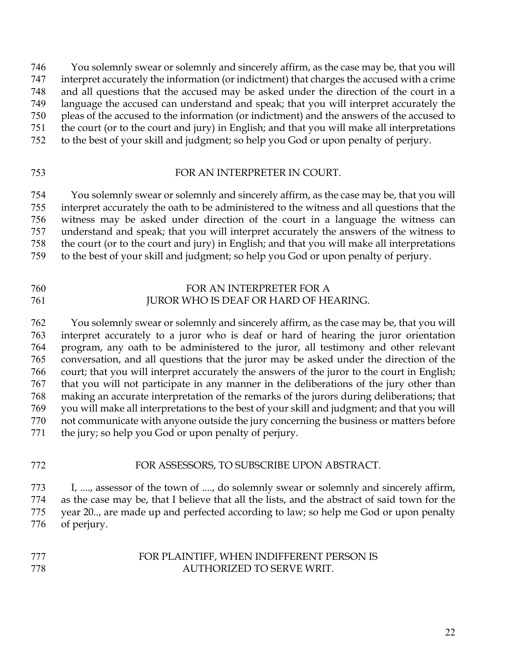You solemnly swear or solemnly and sincerely affirm, as the case may be, that you will interpret accurately the information (or indictment) that charges the accused with a crime and all questions that the accused may be asked under the direction of the court in a language the accused can understand and speak; that you will interpret accurately the pleas of the accused to the information (or indictment) and the answers of the accused to the court (or to the court and jury) in English; and that you will make all interpretations

to the best of your skill and judgment; so help you God or upon penalty of perjury.

## FOR AN INTERPRETER IN COURT.

 You solemnly swear or solemnly and sincerely affirm, as the case may be, that you will interpret accurately the oath to be administered to the witness and all questions that the witness may be asked under direction of the court in a language the witness can understand and speak; that you will interpret accurately the answers of the witness to the court (or to the court and jury) in English; and that you will make all interpretations to the best of your skill and judgment; so help you God or upon penalty of perjury.

# FOR AN INTERPRETER FOR A 761 JUROR WHO IS DEAF OR HARD OF HEARING.

 You solemnly swear or solemnly and sincerely affirm, as the case may be, that you will interpret accurately to a juror who is deaf or hard of hearing the juror orientation program, any oath to be administered to the juror, all testimony and other relevant conversation, and all questions that the juror may be asked under the direction of the court; that you will interpret accurately the answers of the juror to the court in English; that you will not participate in any manner in the deliberations of the jury other than making an accurate interpretation of the remarks of the jurors during deliberations; that you will make all interpretations to the best of your skill and judgment; and that you will not communicate with anyone outside the jury concerning the business or matters before the jury; so help you God or upon penalty of perjury.

# FOR ASSESSORS, TO SUBSCRIBE UPON ABSTRACT.

 I, ...., assessor of the town of ...., do solemnly swear or solemnly and sincerely affirm, as the case may be, that I believe that all the lists, and the abstract of said town for the year 20.., are made up and perfected according to law; so help me God or upon penalty of perjury.

# FOR PLAINTIFF, WHEN INDIFFERENT PERSON IS AUTHORIZED TO SERVE WRIT.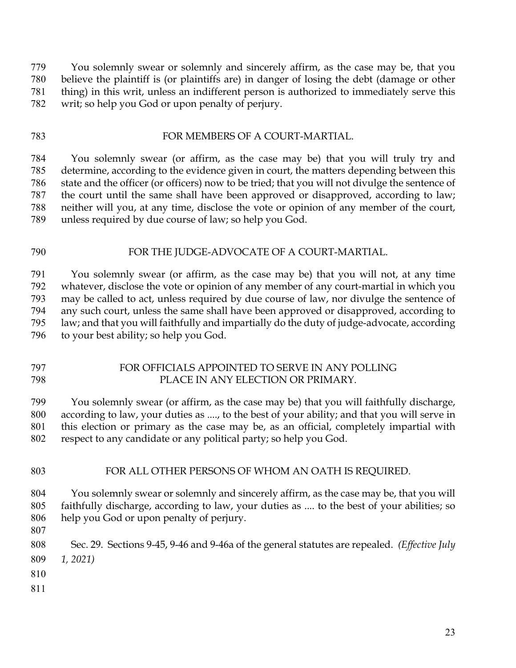You solemnly swear or solemnly and sincerely affirm, as the case may be, that you believe the plaintiff is (or plaintiffs are) in danger of losing the debt (damage or other thing) in this writ, unless an indifferent person is authorized to immediately serve this writ; so help you God or upon penalty of perjury.

## FOR MEMBERS OF A COURT-MARTIAL.

 You solemnly swear (or affirm, as the case may be) that you will truly try and determine, according to the evidence given in court, the matters depending between this state and the officer (or officers) now to be tried; that you will not divulge the sentence of the court until the same shall have been approved or disapproved, according to law; neither will you, at any time, disclose the vote or opinion of any member of the court, unless required by due course of law; so help you God.

# FOR THE JUDGE-ADVOCATE OF A COURT-MARTIAL.

 You solemnly swear (or affirm, as the case may be) that you will not, at any time whatever, disclose the vote or opinion of any member of any court-martial in which you may be called to act, unless required by due course of law, nor divulge the sentence of any such court, unless the same shall have been approved or disapproved, according to law; and that you will faithfully and impartially do the duty of judge-advocate, according to your best ability; so help you God.

### FOR OFFICIALS APPOINTED TO SERVE IN ANY POLLING PLACE IN ANY ELECTION OR PRIMARY.

 You solemnly swear (or affirm, as the case may be) that you will faithfully discharge, according to law, your duties as ...., to the best of your ability; and that you will serve in this election or primary as the case may be, as an official, completely impartial with respect to any candidate or any political party; so help you God.

### FOR ALL OTHER PERSONS OF WHOM AN OATH IS REQUIRED.

 You solemnly swear or solemnly and sincerely affirm, as the case may be, that you will faithfully discharge, according to law, your duties as .... to the best of your abilities; so help you God or upon penalty of perjury.

 Sec. 29. Sections 9-45, 9-46 and 9-46a of the general statutes are repealed. *(Effective July 1, 2021)*

- 
-